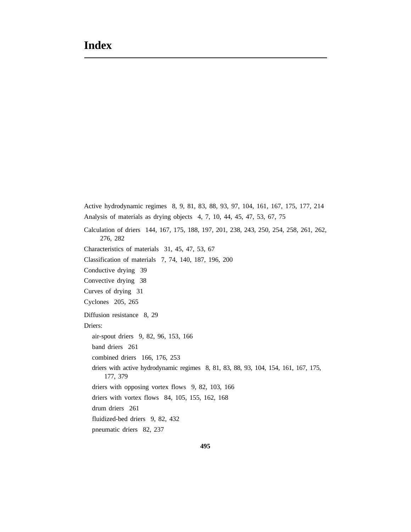Active hydrodynamic regimes 8, 9, 81, 83, 88, 93, 97, 104, 161, 167, 175, 177, 214 Analysis of materials as drying objects 4, 7, 10, 44, 45, 47, 53, 67, 75 Calculation of driers 144, 167, 175, 188, 197, 201, 238, 243, 250, 254, 258, 261, 262, 276, 282 Characteristics of materials 31, 45, 47, 53, 67 Classification of materials 7, 74, 140, 187, 196, 200 Conductive drying 39 Convective drying 38 Curves of drying 31 Cyclones 205, 265 Diffusion resistance 8, 29 Driers: air-spout driers 9, 82, 96, 153, 166 band driers 261 combined driers 166, 176, 253 driers with active hydrodynamic regimes 8, 81, 83, 88, 93, 104, 154, 161, 167, 175, 177, 379 driers with opposing vortex flows 9, 82, 103, 166 driers with vortex flows 84, 105, 155, 162, 168 drum driers 261 fluidized-bed driers 9, 82, 432 pneumatic driers 82, 237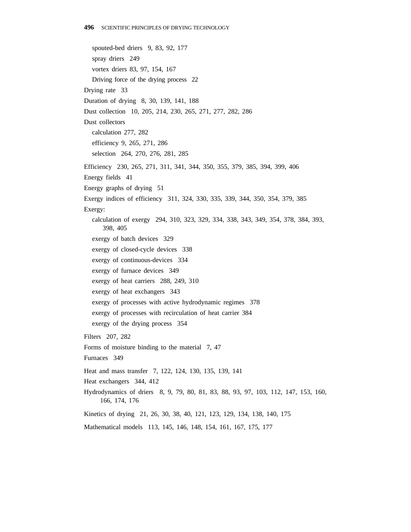spouted-bed driers 9, 83, 92, 177 spray driers 249 vortex driers 83, 97, 154, 167 Driving force of the drying process 22 Drying rate 33 Duration of drying 8, 30, 139, 141, 188 Dust collection 10, 205, 214, 230, 265, 271, 277, 282, 286 Dust collectors calculation 277, 282 efficiency 9, 265, 271, 286 selection 264, 270, 276, 281, 285 Efficiency 230, 265, 271, 311, 341, 344, 350, 355, 379, 385, 394, 399, 406 Energy fields 41 Energy graphs of drying 51 Exergy indices of efficiency 311, 324, 330, 335, 339, 344, 350, 354, 379, 385 Exergy: calculation of exergy 294, 310, 323, 329, 334, 338, 343, 349, 354, 378, 384, 393, 398, 405 exergy of batch devices 329 exergy of closed-cycle devices 338 exergy of continuous-devices 334 exergy of furnace devices 349 exergy of heat carriers 288, 249, 310 exergy of heat exchangers 343 exergy of processes with active hydrodynamic regimes 378 exergy of processes with recirculation of heat carrier 384 exergy of the drying process 354 Filters 207, 282 Forms of moisture binding to the material 7, 47 Furnaces 349 Heat and mass transfer 7, 122, 124, 130, 135, 139, 141 Heat exchangers 344, 412 Hydrodynamics of driers 8, 9, 79, 80, 81, 83, 88, 93, 97, 103, 112, 147, 153, 160, 166, 174, 176 Kinetics of drying 21, 26, 30, 38, 40, 121, 123, 129, 134, 138, 140, 175 Mathematical models 113, 145, 146, 148, 154, 161, 167, 175, 177